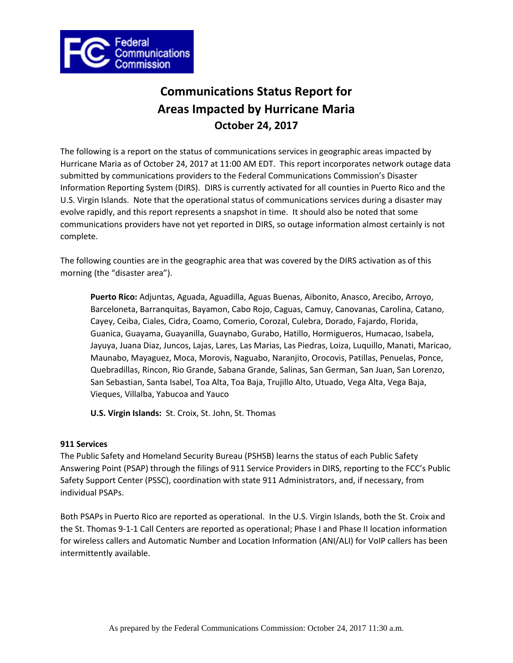

# **Communications Status Report for Areas Impacted by Hurricane Maria October 24, 2017**

The following is a report on the status of communications services in geographic areas impacted by Hurricane Maria as of October 24, 2017 at 11:00 AM EDT. This report incorporates network outage data submitted by communications providers to the Federal Communications Commission's Disaster Information Reporting System (DIRS). DIRS is currently activated for all counties in Puerto Rico and the U.S. Virgin Islands. Note that the operational status of communications services during a disaster may evolve rapidly, and this report represents a snapshot in time. It should also be noted that some communications providers have not yet reported in DIRS, so outage information almost certainly is not complete.

The following counties are in the geographic area that was covered by the DIRS activation as of this morning (the "disaster area").

**Puerto Rico:** Adjuntas, Aguada, Aguadilla, Aguas Buenas, Aibonito, Anasco, Arecibo, Arroyo, Barceloneta, Barranquitas, Bayamon, Cabo Rojo, Caguas, Camuy, Canovanas, Carolina, Catano, Cayey, Ceiba, Ciales, Cidra, Coamo, Comerio, Corozal, Culebra, Dorado, Fajardo, Florida, Guanica, Guayama, Guayanilla, Guaynabo, Gurabo, Hatillo, Hormigueros, Humacao, Isabela, Jayuya, Juana Diaz, Juncos, Lajas, Lares, Las Marias, Las Piedras, Loiza, Luquillo, Manati, Maricao, Maunabo, Mayaguez, Moca, Morovis, Naguabo, Naranjito, Orocovis, Patillas, Penuelas, Ponce, Quebradillas, Rincon, Rio Grande, Sabana Grande, Salinas, San German, San Juan, San Lorenzo, San Sebastian, Santa Isabel, Toa Alta, Toa Baja, Trujillo Alto, Utuado, Vega Alta, Vega Baja, Vieques, Villalba, Yabucoa and Yauco

**U.S. Virgin Islands:** St. Croix, St. John, St. Thomas

# **911 Services**

The Public Safety and Homeland Security Bureau (PSHSB) learns the status of each Public Safety Answering Point (PSAP) through the filings of 911 Service Providers in DIRS, reporting to the FCC's Public Safety Support Center (PSSC), coordination with state 911 Administrators, and, if necessary, from individual PSAPs.

Both PSAPs in Puerto Rico are reported as operational. In the U.S. Virgin Islands, both the St. Croix and the St. Thomas 9-1-1 Call Centers are reported as operational; Phase I and Phase II location information for wireless callers and Automatic Number and Location Information (ANI/ALI) for VoIP callers has been intermittently available.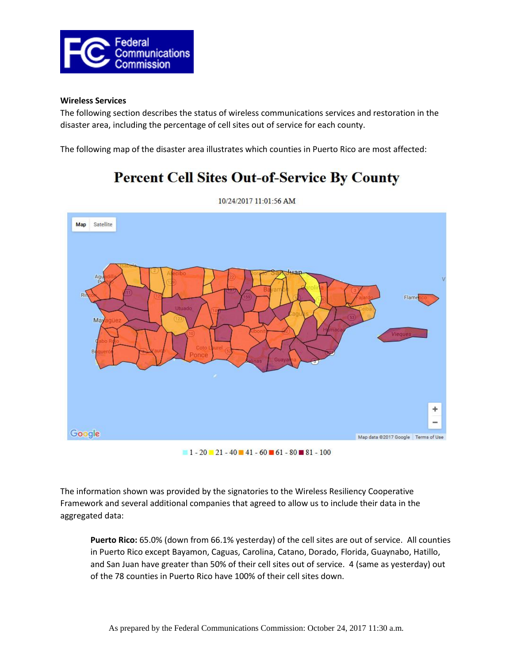

#### **Wireless Services**

The following section describes the status of wireless communications services and restoration in the disaster area, including the percentage of cell sites out of service for each county.

The following map of the disaster area illustrates which counties in Puerto Rico are most affected:

# **Percent Cell Sites Out-of-Service By County**



10/24/2017 11:01:56 AM

 $1 - 20$   $21 - 40$   $41 - 60$   $61 - 80$   $81 - 100$ 

The information shown was provided by the signatories to the Wireless Resiliency Cooperative Framework and several additional companies that agreed to allow us to include their data in the aggregated data:

**Puerto Rico:** 65.0% (down from 66.1% yesterday) of the cell sites are out of service. All counties in Puerto Rico except Bayamon, Caguas, Carolina, Catano, Dorado, Florida, Guaynabo, Hatillo, and San Juan have greater than 50% of their cell sites out of service. 4 (same as yesterday) out of the 78 counties in Puerto Rico have 100% of their cell sites down.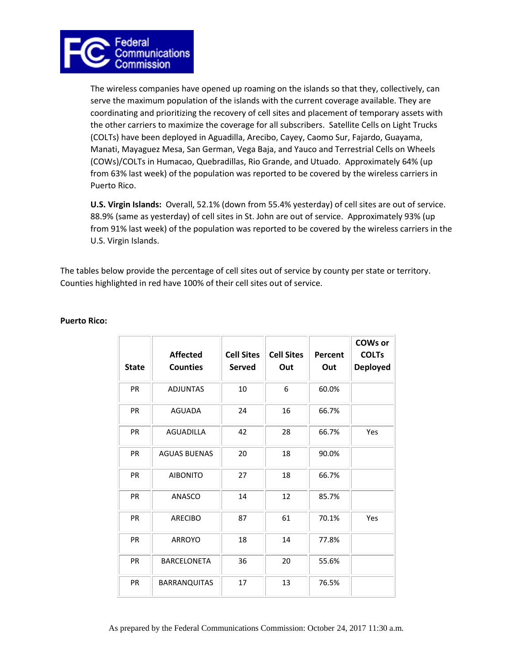

The wireless companies have opened up roaming on the islands so that they, collectively, can serve the maximum population of the islands with the current coverage available. They are coordinating and prioritizing the recovery of cell sites and placement of temporary assets with the other carriers to maximize the coverage for all subscribers. Satellite Cells on Light Trucks (COLTs) have been deployed in Aguadilla, Arecibo, Cayey, Caomo Sur, Fajardo, Guayama, Manati, Mayaguez Mesa, San German, Vega Baja, and Yauco and Terrestrial Cells on Wheels (COWs)/COLTs in Humacao, Quebradillas, Rio Grande, and Utuado. Approximately 64% (up from 63% last week) of the population was reported to be covered by the wireless carriers in Puerto Rico.

**U.S. Virgin Islands:** Overall, 52.1% (down from 55.4% yesterday) of cell sites are out of service. 88.9% (same as yesterday) of cell sites in St. John are out of service. Approximately 93% (up from 91% last week) of the population was reported to be covered by the wireless carriers in the U.S. Virgin Islands.

The tables below provide the percentage of cell sites out of service by county per state or territory. Counties highlighted in red have 100% of their cell sites out of service.

| <b>State</b> | <b>Affected</b><br><b>Counties</b> | <b>Cell Sites</b><br><b>Served</b> | <b>Cell Sites</b><br>Out | Percent<br>Out | <b>COWs or</b><br><b>COLTs</b><br><b>Deployed</b> |
|--------------|------------------------------------|------------------------------------|--------------------------|----------------|---------------------------------------------------|
| PR           | <b>ADJUNTAS</b>                    | 10                                 | 6                        | 60.0%          |                                                   |
| PR           | <b>AGUADA</b>                      | 24                                 | 16                       | 66.7%          |                                                   |
| PR           | <b>AGUADILLA</b>                   | 42                                 | 28                       | 66.7%          | Yes                                               |
| PR           | <b>AGUAS BUENAS</b>                | 20                                 | 18                       | 90.0%          |                                                   |
| <b>PR</b>    | <b>AIBONITO</b>                    | 27                                 | 18                       | 66.7%          |                                                   |
| <b>PR</b>    | ANASCO                             | 14                                 | 12                       | 85.7%          |                                                   |
| PR           | <b>ARECIBO</b>                     | 87                                 | 61                       | 70.1%          | Yes                                               |
| PR           | <b>ARROYO</b>                      | 18                                 | 14                       | 77.8%          |                                                   |
| PR           | <b>BARCELONETA</b>                 | 36                                 | 20                       | 55.6%          |                                                   |
| PR           | <b>BARRANQUITAS</b>                | 17                                 | 13                       | 76.5%          |                                                   |

# **Puerto Rico:**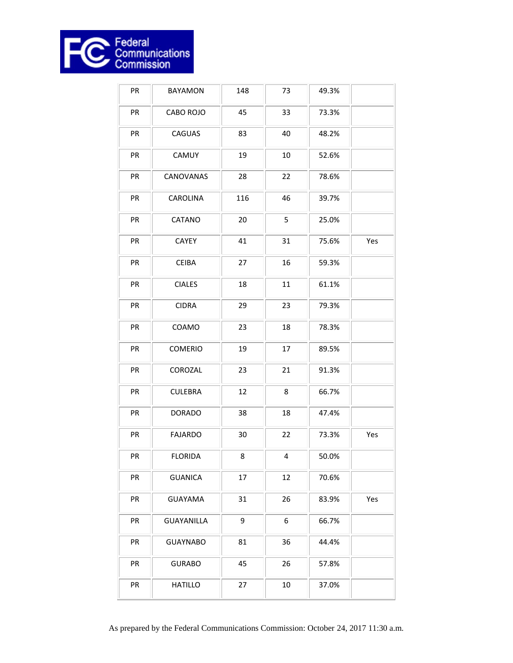

| PR | <b>BAYAMON</b>    | 148 | 73 | 49.3% |     |
|----|-------------------|-----|----|-------|-----|
| PR | CABO ROJO         | 45  | 33 | 73.3% |     |
| PR | CAGUAS            | 83  | 40 | 48.2% |     |
| PR | CAMUY             | 19  | 10 | 52.6% |     |
| PR | CANOVANAS         | 28  | 22 | 78.6% |     |
| PR | <b>CAROLINA</b>   | 116 | 46 | 39.7% |     |
| PR | CATANO            | 20  | 5  | 25.0% |     |
| PR | CAYEY             | 41  | 31 | 75.6% | Yes |
| PR | <b>CEIBA</b>      | 27  | 16 | 59.3% |     |
| PR | <b>CIALES</b>     | 18  | 11 | 61.1% |     |
| PR | <b>CIDRA</b>      | 29  | 23 | 79.3% |     |
| PR | COAMO             | 23  | 18 | 78.3% |     |
| PR | <b>COMERIO</b>    | 19  | 17 | 89.5% |     |
| PR | COROZAL           | 23  | 21 | 91.3% |     |
| PR | <b>CULEBRA</b>    | 12  | 8  | 66.7% |     |
| PR | <b>DORADO</b>     | 38  | 18 | 47.4% |     |
| PR | <b>FAJARDO</b>    | 30  | 22 | 73.3% | Yes |
| PR | <b>FLORIDA</b>    | 8   | 4  | 50.0% |     |
| PR | <b>GUANICA</b>    | 17  | 12 | 70.6% |     |
| PR | <b>GUAYAMA</b>    | 31  | 26 | 83.9% | Yes |
| PR | <b>GUAYANILLA</b> | 9   | 6  | 66.7% |     |
| PR | <b>GUAYNABO</b>   | 81  | 36 | 44.4% |     |
| PR | <b>GURABO</b>     | 45  | 26 | 57.8% |     |
| PR | <b>HATILLO</b>    | 27  | 10 | 37.0% |     |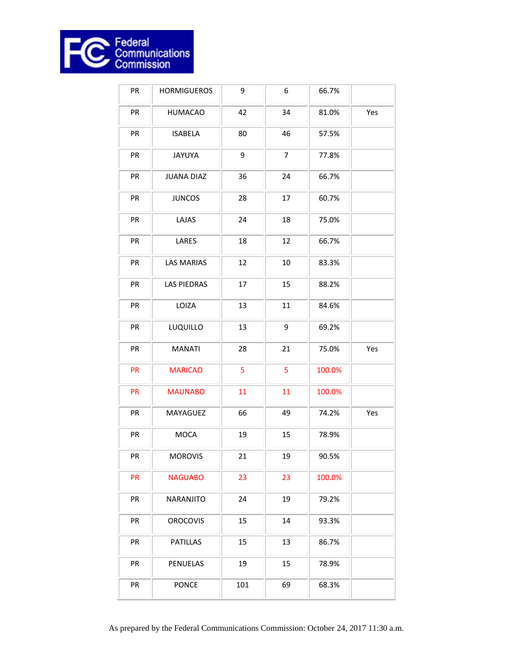

| PR | <b>HORMIGUEROS</b> | 9   | 6              | 66.7%  |     |
|----|--------------------|-----|----------------|--------|-----|
| PR | <b>HUMACAO</b>     | 42  | 34             | 81.0%  | Yes |
| PR | <b>ISABELA</b>     | 80  | 46             | 57.5%  |     |
| PR | <b>JAYUYA</b>      | 9   | $\overline{7}$ | 77.8%  |     |
| PR | <b>JUANA DIAZ</b>  | 36  | 24             | 66.7%  |     |
| PR | <b>JUNCOS</b>      | 28  | 17             | 60.7%  |     |
| PR | LAJAS              | 24  | 18             | 75.0%  |     |
| PR | LARES              | 18  | 12             | 66.7%  |     |
| PR | <b>LAS MARIAS</b>  | 12  | $10\,$         | 83.3%  |     |
| PR | <b>LAS PIEDRAS</b> | 17  | 15             | 88.2%  |     |
| PR | LOIZA              | 13  | 11             | 84.6%  |     |
| PR | LUQUILLO           | 13  | 9              | 69.2%  |     |
| PR | <b>MANATI</b>      | 28  | 21             | 75.0%  | Yes |
| PR | <b>MARICAO</b>     | 5   | 5              | 100.0% |     |
| PR | <b>MAUNABO</b>     | 11  | 11             | 100.0% |     |
| PR | MAYAGUEZ           | 66  | 49             | 74.2%  | Yes |
| PR | <b>MOCA</b>        | 19  | 15             | 78.9%  |     |
| PR | <b>MOROVIS</b>     | 21  | 19             | 90.5%  |     |
| PR | <b>NAGUABO</b>     | 23  | 23             | 100.0% |     |
| PR | NARANJITO          | 24  | 19             | 79.2%  |     |
| PR | <b>OROCOVIS</b>    | 15  | 14             | 93.3%  |     |
| PR | PATILLAS           | 15  | 13             | 86.7%  |     |
| PR | PENUELAS           | 19  | 15             | 78.9%  |     |
| PR | <b>PONCE</b>       | 101 | 69             | 68.3%  |     |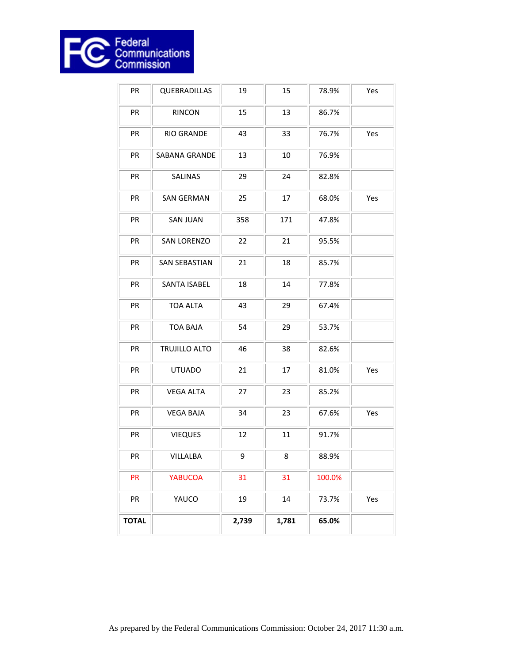

| PR           | QUEBRADILLAS         | 19    | 15     | 78.9%  | Yes |
|--------------|----------------------|-------|--------|--------|-----|
| PR           | <b>RINCON</b>        | 15    | 13     | 86.7%  |     |
| PR           | RIO GRANDE           | 43    | 33     | 76.7%  | Yes |
| PR           | SABANA GRANDE        | 13    | 10     | 76.9%  |     |
| PR           | SALINAS              | 29    | 24     | 82.8%  |     |
| PR           | <b>SAN GERMAN</b>    | 25    | 17     | 68.0%  | Yes |
| PR           | <b>SAN JUAN</b>      | 358   | 171    | 47.8%  |     |
| PR           | <b>SAN LORENZO</b>   | 22    | 21     | 95.5%  |     |
| PR           | <b>SAN SEBASTIAN</b> | 21    | 18     | 85.7%  |     |
| PR           | <b>SANTA ISABEL</b>  | 18    | 14     | 77.8%  |     |
| PR           | <b>TOA ALTA</b>      | 43    | 29     | 67.4%  |     |
| PR           | <b>TOA BAJA</b>      | 54    | 29     | 53.7%  |     |
| PR           | TRUJILLO ALTO        | 46    | 38     | 82.6%  |     |
| PR           | <b>UTUADO</b>        | 21    | 17     | 81.0%  | Yes |
| PR           | <b>VEGA ALTA</b>     | 27    | 23     | 85.2%  |     |
| PR           | <b>VEGA BAJA</b>     | 34    | 23     | 67.6%  | Yes |
| PR           | <b>VIEQUES</b>       | 12    | $11\,$ | 91.7%  |     |
| PR           | VILLALBA             | 9     | 8      | 88.9%  |     |
| PR           | <b>YABUCOA</b>       | 31    | 31     | 100.0% |     |
| PR           | YAUCO                | 19    | 14     | 73.7%  | Yes |
| <b>TOTAL</b> |                      | 2,739 | 1,781  | 65.0%  |     |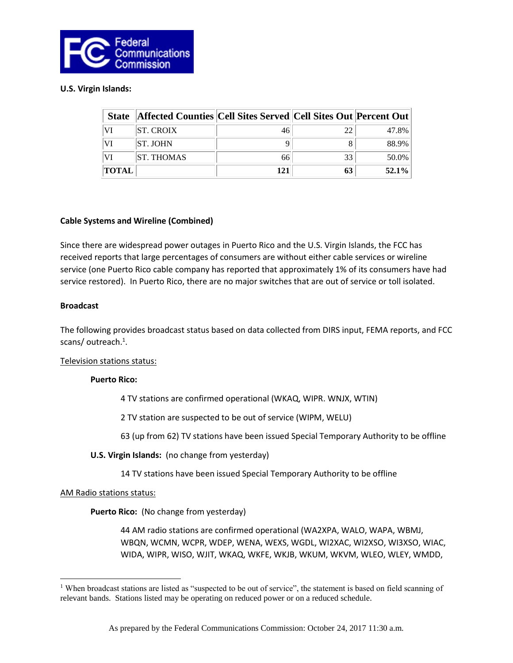

#### **U.S. Virgin Islands:**

| <b>State</b> | <b>Affected Counties Cell Sites Served Cell Sites Out Percent Out</b> |     |    |          |
|--------------|-----------------------------------------------------------------------|-----|----|----------|
| VI           | <b>ST. CROIX</b>                                                      | 46  | 22 | 47.8%    |
| VI           | <b>ST. JOHN</b>                                                       |     |    | 88.9%    |
|              | <b>ST. THOMAS</b>                                                     | 66  | 33 | 50.0%    |
| <b>TOTAL</b> |                                                                       | 121 | 63 | $52.1\%$ |

#### **Cable Systems and Wireline (Combined)**

Since there are widespread power outages in Puerto Rico and the U.S. Virgin Islands, the FCC has received reports that large percentages of consumers are without either cable services or wireline service (one Puerto Rico cable company has reported that approximately 1% of its consumers have had service restored). In Puerto Rico, there are no major switches that are out of service or toll isolated.

#### **Broadcast**

The following provides broadcast status based on data collected from DIRS input, FEMA reports, and FCC scans/outreach.<sup>1</sup>.

Television stations status:

# **Puerto Rico:**

4 TV stations are confirmed operational (WKAQ, WIPR. WNJX, WTIN)

2 TV station are suspected to be out of service (WIPM, WELU)

63 (up from 62) TV stations have been issued Special Temporary Authority to be offline

**U.S. Virgin Islands:** (no change from yesterday)

14 TV stations have been issued Special Temporary Authority to be offline

#### AM Radio stations status:

 $\overline{\phantom{a}}$ 

**Puerto Rico:** (No change from yesterday)

44 AM radio stations are confirmed operational (WA2XPA, WALO, WAPA, WBMJ, WBQN, WCMN, WCPR, WDEP, WENA, WEXS, WGDL, WI2XAC, WI2XSO, WI3XSO, WIAC, WIDA, WIPR, WISO, WJIT, WKAQ, WKFE, WKJB, WKUM, WKVM, WLEO, WLEY, WMDD,

<sup>&</sup>lt;sup>1</sup> When broadcast stations are listed as "suspected to be out of service", the statement is based on field scanning of relevant bands. Stations listed may be operating on reduced power or on a reduced schedule.